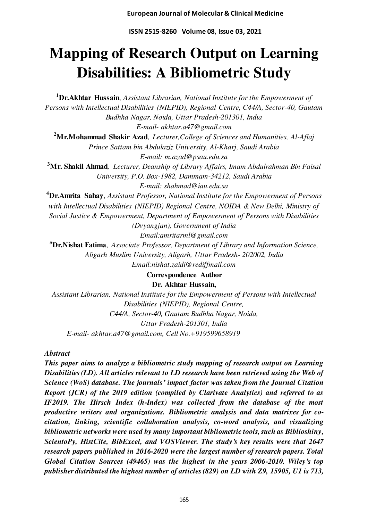**ISSN 2515-8260 Volume 08, Issue 03, 2021** 

# **Mapping of Research Output on Learning Disabilities: A Bibliometric Study**

**<sup>1</sup>Dr.Akhtar Hussain**, *Assistant Librarian, National Institute for the Empowerment of Persons with Intellectual Disabilities (NIEPID), Regional Centre, C44/A, Sector-40, Gautam Budhha Nagar, Noida, Uttar Pradesh-201301, India E-mail- akhtar.a47@gmail.com*  **<sup>2</sup>Mr.Mohammad Shakir Azad**, *Lecturer,College of Sciences and Humanities, Al-Aflaj Prince Sattam bin Abdulaziz University, Al-Kharj, Saudi Arabia E-mail: m.azad@psau.edu.sa*  **<sup>3</sup>Mr. Shakil Ahmad***, Lecturer, Deanship of Library Affairs, Imam Abdulrahman Bin Faisal University, P.O. Box-1982, Dammam-34212, Saudi Arabia E-mail: shahmad@iau.edu.sa*  **<sup>4</sup>Dr.Amrita Sahay**, *Assistant Professor, National Institute for the Empowerment of Persons with Intellectual Disabilities (NIEPID) Regional Centre, NOIDA & New Delhi, Ministry of Social Justice & Empowerment, Department of Empowerment of Persons with Disabilities (Dvyangjan), Government of India Email:amritarml@gmail.com*  **<sup>5</sup>Dr.Nishat Fatima**, *Associate Professor, Department of Library and Information Science, Aligarh Muslim University, Aligarh, Uttar Pradesh- 202002, India Email:nishat.zaidi@rediffmail.com* 

**Correspondence Author** 

**Dr. Akhtar Hussain,** 

*Assistant Librarian, National Institute for the Empowerment of Persons with Intellectual Disabilities (NIEPID), Regional Centre, C44/A, Sector-40, Gautam Budhha Nagar, Noida, Uttar Pradesh-201301, India E-mail- akhtar.a47@gmail.com, Cell No.+919599658919* 

*Abstract* 

*This paper aims to analyze a bibliometric study mapping of research output on Learning Disabilities (LD). All articles relevant to LD research have been retrieved using the Web of Science (WoS) database. The journals' impact factor was taken from the Journal Citation Report (JCR) of the 2019 edition (compiled by Clarivate Analytics) and referred to as IF2019. The Hirsch Index (h-Index) was collected from the database of the most productive writers and organizations. Bibliometric analysis and data matrixes for cocitation, linking, scientific collaboration analysis, co-word analysis, and visualizing bibliometric networks were used by many important bibliometric tools, such as Biblioshiny, ScientoPy, HistCite, BibExcel, and VOSViewer. The study's key results were that 2647 research papers published in 2016-2020 were the largest number of research papers. Total Global Citation Sources (49465) was the highest in the years 2006-2010. Wiley's top publisher distributed the highest number of articles (829) on LD with Z9, 15905, U1 is 713,*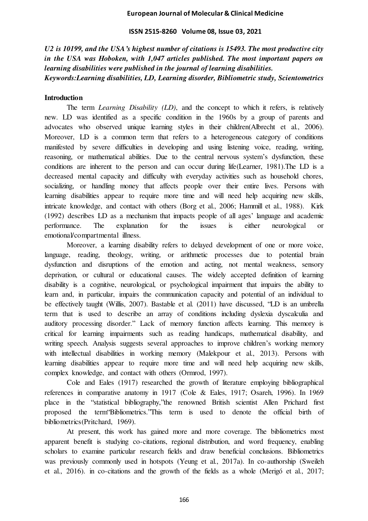### **ISSN 2515-8260 Volume 08, Issue 03, 2021**

*U2 is 10199, and the USA's highest number of citations is 15493. The most productive city in the USA was Hoboken, with 1,047 articles published. The most important papers on learning disabilities were published in the journal of learning disabilities. Keywords:Learning disabilities, LD, Learning disorder, Bibliometric study, Scientometrics* 

### **Introduction**

The term *Learning Disability (LD)*, and the concept to which it refers, is relatively new. LD was identified as a specific condition in the 1960s by a group of parents and advocates who observed unique learning styles in their children(Albrecht et al., 2006). Moreover, LD is a common term that refers to a heterogeneous category of conditions manifested by severe difficulties in developing and using listening voice, reading, writing, reasoning, or mathematical abilities. Due to the central nervous system's dysfunction, these conditions are inherent to the person and can occur during life(Learner, 1981).The LD is a decreased mental capacity and difficulty with everyday activities such as household chores, socializing, or handling money that affects people over their entire lives. Persons with learning disabilities appear to require more time and will need help acquiring new skills, intricate knowledge, and contact with others (Borg et al., 2006; Hammill et al., 1988). Kirk (1992) describes LD as a mechanism that impacts people of all ages' language and academic performance. The explanation for the issues is either neurological or emotional/compartmental illness.

Moreover, a learning disability refers to delayed development of one or more voice, language, reading, theology, writing, or arithmetic processes due to potential brain dysfunction and disruptions of the emotion and acting, not mental weakness, sensory deprivation, or cultural or educational causes. The widely accepted definition of learning disability is a cognitive, neurological, or psychological impairment that impairs the ability to learn and, in particular, impairs the communication capacity and potential of an individual to be effectively taught (Willis, 2007). Bastable et al. (2011) have discussed, "LD is an umbrella term that is used to describe an array of conditions including dyslexia dyscalculia and auditory processing disorder." Lack of memory function affects learning. This memory is critical for learning impairments such as reading handicaps, mathematical disability, and writing speech. Analysis suggests several approaches to improve children's working memory with intellectual disabilities in working memory (Malekpour et al., 2013). Persons with learning disabilities appear to require more time and will need help acquiring new skills, complex knowledge, and contact with others (Ormrod, 1997).

Cole and Eales (1917) researched the growth of literature employing bibliographical references in comparative anatomy in 1917 (Cole & Eales, 1917; Osareh, 1996). In 1969 place in the "statistical bibliography,"the renowned British scientist Allen Prichard first proposed the term"Bibliometrics."This term is used to denote the official birth of bibliometrics(Pritchard, 1969).

At present, this work has gained more and more coverage. The bibliometrics most apparent benefit is studying co-citations, regional distribution, and word frequency, enabling scholars to examine particular research fields and draw beneficial conclusions. Bibliometrics was previously commonly used in hotspots (Yeung et al., 2017a). In co-authorship (Sweileh et al., 2016). in co-citations and the growth of the fields as a whole (Merigó et al., 2017;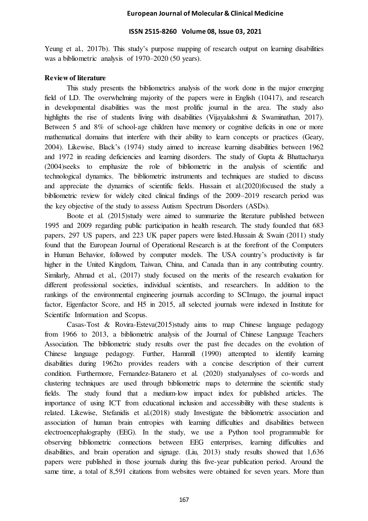### **ISSN 2515-8260 Volume 08, Issue 03, 2021**

Yeung et al., 2017b). This study's purpose mapping of research output on learning disabilities was a bibliometric analysis of 1970–2020 (50 years).

### **Review of literature**

This study presents the bibliometrics analysis of the work done in the major emerging field of LD. The overwhelming majority of the papers were in English (10417), and research in developmental disabilities was the most prolific journal in the area. The study also highlights the rise of students living with disabilities (Vijayalakshmi & Swaminathan, 2017). Between 5 and 8% of school-age children have memory or cognitive deficits in one or more mathematical domains that interfere with their ability to learn concepts or practices (Geary, 2004). Likewise, Black's (1974) study aimed to increase learning disabilities between 1962 and 1972 in reading deficiencies and learning disorders. The study of Gupta & Bhattacharya (2004)seeks to emphasize the role of bibliometric in the analysis of scientific and technological dynamics. The bibliometric instruments and techniques are studied to discuss and appreciate the dynamics of scientific fields. Hussain et al.(2020)focused the study a bibliometric review for widely cited clinical findings of the 2009–2019 research period was the key objective of the study to assess Autism Spectrum Disorders (ASDs).

Boote et al. (2015)study were aimed to summarize the literature published between 1995 and 2009 regarding public participation in health research. The study founded that 683 papers, 297 US papers, and 223 UK paper papers were listed.Hussain & Swain (2011) study found that the European Journal of Operational Research is at the forefront of the Computers in Human Behavior, followed by computer models. The USA country's productivity is far higher in the United Kingdom, Taiwan, China, and Canada than in any contributing country. Similarly, Ahmad et al., (2017) study focused on the merits of the research evaluation for different professional societies, individual scientists, and researchers. In addition to the rankings of the environmental engineering journals according to SCImago, the journal impact factor, Eigenfactor Score, and H5 in 2015, all selected journals were indexed in Institute for Scientific Information and Scopus.

Casas-Tost & Rovira-Esteva(2015)study aims to map Chinese language pedagogy from 1966 to 2013, a bibliometric analysis of the Journal of Chinese Language Teachers Association. The bibliometric study results over the past five decades on the evolution of Chinese language pedagogy. Further, Hammill (1990) attempted to identify learning disabilities during 1962to provides readers with a concise description of their current condition. Furthermore, Fernandez-Batanero et al. (2020) studyanalyses of co-words and clustering techniques are used through bibliometric maps to determine the scientific study fields. The study found that a medium-low impact index for published articles. The importance of using ICT from educational inclusion and accessibility with these students is related. Likewise, Stefanidis et al.(2018) study Investigate the bibliometric association and association of human brain entropies with learning difficulties and disabilities between electroencephalography (EEG). In the study, we use a Python tool programmable for observing bibliometric connections between EEG enterprises, learning difficulties and disabilities, and brain operation and signage. (Liu, 2013) study results showed that 1,636 papers were published in those journals during this five-year publication period. Around the same time, a total of 8,591 citations from websites were obtained for seven years. More than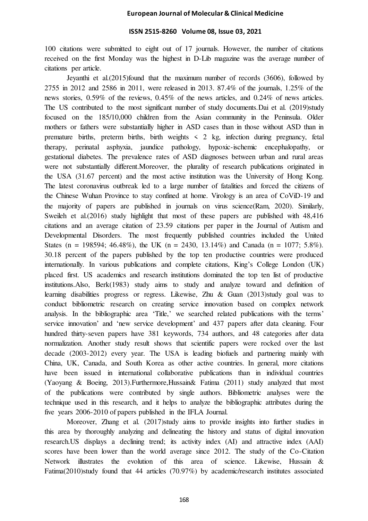### **ISSN 2515-8260 Volume 08, Issue 03, 2021**

100 citations were submitted to eight out of 17 journals. However, the number of citations received on the first Monday was the highest in D-Lib magazine was the average number of citations per article.

 Jeyanthi et al.(2015)found that the maximum number of records (3606), followed by 2755 in 2012 and 2586 in 2011, were released in 2013. 87.4% of the journals, 1.25% of the news stories, 0.59% of the reviews, 0.45% of the news articles, and 0.24% of news articles. The US contributed to the most significant number of study documents.Dai et al. (2019)study focused on the 185/10,000 children from the Asian community in the Peninsula. Older mothers or fathers were substantially higher in ASD cases than in those without ASD than in premature births, preterm births, birth weights  $\leq$  2 kg, infection during pregnancy, fetal therapy, perinatal asphyxia, jaundice pathology, hypoxic-ischemic encephalopathy, or gestational diabetes. The prevalence rates of ASD diagnoses between urban and rural areas were not substantially different.Moreover, the plurality of research publications originated in the USA (31.67 percent) and the most active institution was the University of Hong Kong. The latest coronavirus outbreak led to a large number of fatalities and forced the citizens of the Chinese Wuhan Province to stay confined at home. Virology is an area of CoViD-19 and the majority of papers are published in journals on virus science(Ram, 2020). Similarly, Sweileh et al. (2016) study highlight that most of these papers are published with  $48,416$ citations and an average citation of 23.59 citations per paper in the Journal of Autism and Developmental Disorders. The most frequently published countries included the United States (n = 198594; 46.48%), the UK (n = 2430, 13.14%) and Canada (n = 1077; 5.8%). 30.18 percent of the papers published by the top ten productive countries were produced internationally. In various publications and complete citations, King's College London (UK) placed first. US academics and research institutions dominated the top ten list of productive institutions.Also, Berk(1983) study aims to study and analyze toward and definition of learning disabilities progress or regress. Likewise, Zhu & Guan (2013)study goal was to conduct bibliometric research on creating service innovation based on complex network analysis. In the bibliographic area 'Title,' we searched related publications with the terms' service innovation' and 'new service development' and 437 papers after data cleaning. Four hundred thirty-seven papers have 381 keywords, 734 authors, and 48 categories after data normalization. Another study result shows that scientific papers were rocked over the last decade (2003-2012) every year. The USA is leading biofuels and partnering mainly with China, UK, Canada, and South Korea as other active countries. In general, more citations have been issued in international collaborative publications than in individual countries (Yaoyang & Boeing, 2013).Furthermore,Hussain& Fatima (2011) study analyzed that most of the publications were contributed by single authors. Bibliometric analyses were the technique used in this research, and it helps to analyze the bibliographic attributes during the five years 2006-2010 of papers published in the IFLA Journal.

Moreover, Zhang et al. (2017)study aims to provide insights into further studies in this area by thoroughly analyzing and delineating the history and status of digital innovation research.US displays a declining trend; its activity index (AI) and attractive index (AAI) scores have been lower than the world average since 2012. The study of the Co-Citation Network illustrates the evolution of this area of science. Likewise, Hussain & Fatima(2010)study found that 44 articles (70.97%) by academic/research institutes associated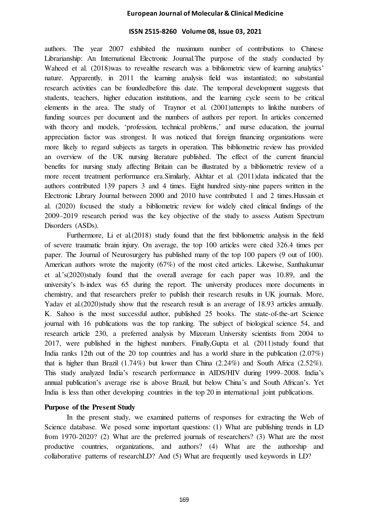### **ISSN 2515-8260 Volume 08, Issue 03, 2021**

authors. The year 2007 exhibited the maximum number of contributions to Chinese Librarianship: An International Electronic Journal.The purpose of the study conducted by Waheed et al. (2018)was to revealthe research was a bibliometric view of learning analytics' nature. Apparently, in 2011 the learning analysis field was instantiated; no substantial research activities can be foundedbefore this date. The temporal development suggests that students, teachers, higher education institutions, and the learning cycle seem to be critical elements in the area. The study of Traynor et al. (2001)attempts to linkthe numbers of funding sources per document and the numbers of authors per report. In articles concerned with theory and models, 'profession, technical problems,' and nurse education, the journal appreciation factor was strongest. It was noticed that foreign financing organizations were more likely to regard subjects as targets in operation. This bibliometric review has provided an overview of the UK nursing literature published. The effect of the current financial benefits for nursing study affecting Britain can be illustrated by a bibliometric review of a more recent treatment performance era. Similarly, Akhtar et al. (2011)data indicated that the authors contributed 139 papers 3 and 4 times. Eight hundred sixty-nine papers written in the Electronic Library Journal between 2000 and 2010 have contributed 1 and 2 times.Hussain et al. (2020) focused the study a bibliometric review for widely cited clinical findings of the 2009–2019 research period was the key objective of the study to assess Autism Spectrum Disorders (ASDs).

Furthermore, Li et al.(2018) study found that the first bibliometric analysis in the field of severe traumatic brain injury. On average, the top 100 articles were cited 326.4 times per paper. The Journal of Neurosurgery has published many of the top 100 papers (9 out of 100). American authors wrote the majority (67%) of the most cited articles. Likewise, Santhakumar et al.'s(2020)study found that the overall average for each paper was 10.89, and the university's h-index was 65 during the report. The university produces more documents in chemistry, and that researchers prefer to publish their research results in UK journals. More, Yadav et al. (2020) study show that the research result is an average of 18.93 articles annually. K. Sahoo is the most successful author, published 25 books. The state-of-the-art Science journal with 16 publications was the top ranking. The subject of biological science 54, and research article 230, a preferred analysis by Mizoram University scientists from 2004 to 2017, were published in the highest numbers. Finally,Gupta et al. (2011)study found that India ranks 12th out of the 20 top countries and has a world share in the publication (2.07%) that is higher than Brazil (1.74%) but lower than China (2.24%) and South Africa (2.52%). This study analyzed India's research performance in AIDS/HIV during 1999–2008. India's annual publication's average rise is above Brazil, but below China's and South African's. Yet India is less than other developing countries in the top 20 in international joint publications.

### **Purpose of the Present Study**

In the present study, we examined patterns of responses for extracting the Web of Science database. We posed some important questions: (1) What are publishing trends in LD from 1970-2020? (2) What are the preferred journals of researchers? (3) What are the most productive countries, organizations, and authors? (4) What are the authorship and collaborative patterns of researchLD? And (5) What are frequently used keywords in LD?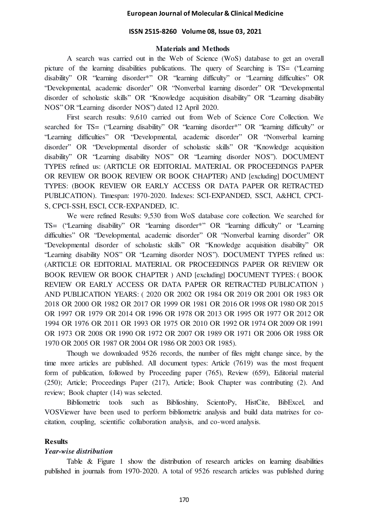### **ISSN 2515-8260 Volume 08, Issue 03, 2021**

### **Materials and Methods**

A search was carried out in the Web of Science (WoS) database to get an overall picture of the learning disabilities publications. The query of Searching is TS= ("Learning disability" OR "learning disorder\*" OR "learning difficulty" or "Learning difficulties" OR "Developmental, academic disorder" OR "Nonverbal learning disorder" OR "Developmental disorder of scholastic skills" OR "Knowledge acquisition disability" OR "Learning disability NOS" OR "Learning disorder NOS") dated 12 April 2020.

First search results: 9,610 carried out from Web of Science Core Collection. We searched for TS= ("Learning disability" OR "learning disorder\*" OR "learning difficulty" or "Learning difficulties" OR "Developmental, academic disorder" OR "Nonverbal learning disorder" OR "Developmental disorder of scholastic skills" OR "Knowledge acquisition disability" OR "Learning disability NOS" OR "Learning disorder NOS"). DOCUMENT TYPES refined us: (ARTICLE OR EDITORIAL MATERIAL OR PROCEEDINGS PAPER OR REVIEW OR BOOK REVIEW OR BOOK CHAPTER) AND [excluding] DOCUMENT TYPES: (BOOK REVIEW OR EARLY ACCESS OR DATA PAPER OR RETRACTED PUBLICATION). Timespan: 1970-2020. Indexes: SCI-EXPANDED, SSCI, A&HCI, CPCI-S, CPCI-SSH, ESCI, CCR-EXPANDED, IC.

We were refined Results: 9,530 from WoS database core collection. We searched for TS= ("Learning disability" OR "learning disorder\*" OR "learning difficulty" or "Learning difficulties" OR "Developmental, academic disorder" OR "Nonverbal learning disorder" OR "Developmental disorder of scholastic skills" OR "Knowledge acquisition disability" OR "Learning disability NOS" OR "Learning disorder NOS"). DOCUMENT TYPES refined us: (ARTICLE OR EDITORIAL MATERIAL OR PROCEEDINGS PAPER OR REVIEW OR BOOK REVIEW OR BOOK CHAPTER ) AND [excluding] DOCUMENT TYPES: ( BOOK REVIEW OR EARLY ACCESS OR DATA PAPER OR RETRACTED PUBLICATION ) AND PUBLICATION YEARS: ( 2020 OR 2002 OR 1984 OR 2019 OR 2001 OR 1983 OR 2018 OR 2000 OR 1982 OR 2017 OR 1999 OR 1981 OR 2016 OR 1998 OR 1980 OR 2015 OR 1997 OR 1979 OR 2014 OR 1996 OR 1978 OR 2013 OR 1995 OR 1977 OR 2012 OR 1994 OR 1976 OR 2011 OR 1993 OR 1975 OR 2010 OR 1992 OR 1974 OR 2009 OR 1991 OR 1973 OR 2008 OR 1990 OR 1972 OR 2007 OR 1989 OR 1971 OR 2006 OR 1988 OR 1970 OR 2005 OR 1987 OR 2004 OR 1986 OR 2003 OR 1985).

Though we downloaded 9526 records, the number of files might change since, by the time more articles are published. All document types: Article (7619) was the most frequent form of publication, followed by Proceeding paper (765), Review (659), Editorial material (250); Article; Proceedings Paper (217), Article; Book Chapter was contributing (2). And review; Book chapter (14) was selected.

Bibliometric tools such as Biblioshiny, ScientoPy, HistCite, BibExcel, and VOSViewer have been used to perform bibliometric analysis and build data matrixes for cocitation, coupling, scientific collaboration analysis, and co-word analysis.

### **Results**

### *Year-wise distribution*

Table & Figure 1 show the distribution of research articles on learning disabilities published in journals from 1970-2020. A total of 9526 research articles was published during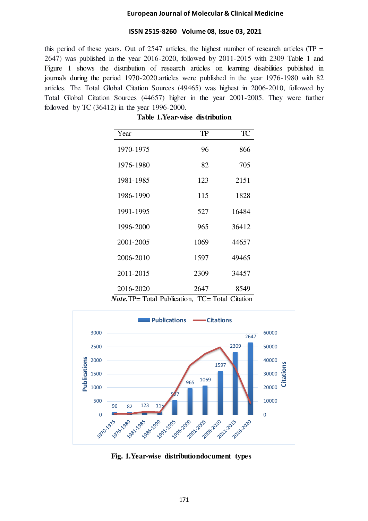### **ISSN 2515-8260 Volume 08, Issue 03, 2021**

this period of these years. Out of  $2547$  articles, the highest number of research articles (TP = 2647) was published in the year 2016-2020, followed by 2011-2015 with 2309 Table 1 and Figure 1 shows the distribution of research articles on learning disabilities published in journals during the period 1970-2020.articles were published in the year 1976-1980 with 82 articles. The Total Global Citation Sources (49465) was highest in 2006-2010, followed by Total Global Citation Sources (44657) higher in the year 2001-2005. They were further followed by TC (36412) in the year 1996-2000.

| Year                                                    | <b>TP</b> | <b>TC</b> |
|---------------------------------------------------------|-----------|-----------|
| 1970-1975                                               | 96        | 866       |
| 1976-1980                                               | 82        | 705       |
| 1981-1985                                               | 123       | 2151      |
| 1986-1990                                               | 115       | 1828      |
| 1991-1995                                               | 527       | 16484     |
| 1996-2000                                               | 965       | 36412     |
| 2001-2005                                               | 1069      | 44657     |
| 2006-2010                                               | 1597      | 49465     |
| 2011-2015                                               | 2309      | 34457     |
| 2016-2020                                               | 2647      | 8549      |
| <i>Note</i> . TP= Total Publication, TC= Total Citation |           |           |

**Table 1.Year-wise distribution**



**Fig. 1.Year-wise distributiondocument types**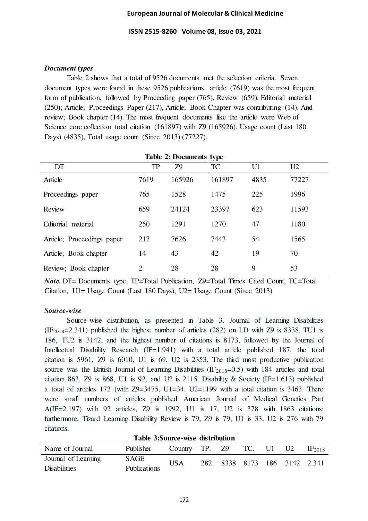**ISSN 2515-8260 Volume 08, Issue 03, 2021** 

# *Document types*

Table 2 shows that a total of 9526 documents met the selection criteria. Seven document types were found in these 9526 publications, article (7619) was the most frequent form of publication, followed by Proceeding paper (765), Review (659), Editorial material (250); Article; Proceedings Paper (217), Article; Book Chapter was contributing (14). And review; Book chapter (14). The most frequent documents like the article were Web of Science core collection total citation (161897) with Z9 (165926). Usage count (Last 180 Days) (4835), Total usage count (Since 2013) (77227).

| <b>Table 2: Documents type</b> |                |           |           |                |                |  |
|--------------------------------|----------------|-----------|-----------|----------------|----------------|--|
| DT                             | <b>TP</b>      | <b>Z9</b> | <b>TC</b> | U <sub>1</sub> | U <sub>2</sub> |  |
| Article                        | 7619           | 165926    | 161897    | 4835           | 77227          |  |
| Proceedings paper              | 765            | 1528      | 1475      | 225            | 1996           |  |
| Review                         | 659            | 24124     | 23397     | 623            | 11593          |  |
| Editorial material             | 250            | 1291      | 1270      | 47             | 1180           |  |
| Article; Proceedings paper     | 217            | 7626      | 7443      | 54             | 1565           |  |
| Article; Book chapter          | 14             | 43        | 42        | 19             | 70             |  |
| Review; Book chapter           | $\overline{2}$ | 28        | 28        | 9              | 53             |  |

*Note.* DT= Documents type, TP=Total Publication, Z9=Total Times Cited Count, TC=Total Citation, U1= Usage Count (Last 180 Days), U2= Usage Count (Since 2013)

# *Source-wise*

Source-wise distribution, as presented in Table 3. Journal of Learning Disabilities  $(IF<sub>2018</sub>=2.341)$  published the highest number of articles (282) on LD with Z9 is 8338, TU1 is 186, TU2 is 3142, and the highest number of citations is 8173, followed by the Journal of Intellectual Disability Research (IF=1.941) with a total article published 187, the total citation is 5961, Z9 is 6010, U1 is 69, U2 is 2353. The third most productive publication source was the British Journal of Learning Disabilities ( $IF<sub>2018</sub>=0.5$ ) with 184 articles and total citation 863, Z9 is 868, U1 is 92, and U2 is 2115. Disability  $\&$  Society (IF=1.613) published a total of articles 173 (with Z9=3475, U1=34, U2=1199 with a total citation is 3463. There were small numbers of articles published American Journal of Medical Genetics Part A(IF=2.197) with 92 articles, Z9 is 1992, U1 is 17, U2 is 378 with 1863 citations; furthermore, Tizard Learning Disability Review is 79, Z9 is 79, U1 is 33, U2 is 276 with 79 citations.

|  |  |  |  | Table 3: Source-wise distribution |  |
|--|--|--|--|-----------------------------------|--|
|--|--|--|--|-----------------------------------|--|

| Name of Journal     | Publisher    | Country TP. Z9 |                              | TC. U1 | U2 | $\rm{IF}_{2018}$ |
|---------------------|--------------|----------------|------------------------------|--------|----|------------------|
| Journal of Learning | SAGE         | <b>USA</b>     | 282 8338 8173 186 3142 2.341 |        |    |                  |
| <b>Disabilities</b> | Publications |                |                              |        |    |                  |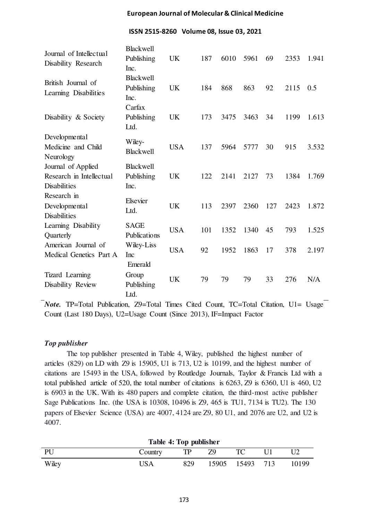**ISSN 2515-8260 Volume 08, Issue 03, 2021** 

| Journal of Intellectual<br>Disability Research                        | <b>Blackwell</b><br>Publishing<br>Inc. | <b>UK</b>  | 187 | 6010 | 5961 | 69  | 2353 | 1.941 |
|-----------------------------------------------------------------------|----------------------------------------|------------|-----|------|------|-----|------|-------|
| British Journal of<br>Learning Disabilities                           | <b>Blackwell</b><br>Publishing<br>Inc. | <b>UK</b>  | 184 | 868  | 863  | 92  | 2115 | 0.5   |
| Disability & Society                                                  | Carfax<br>Publishing<br>Ltd.           | <b>UK</b>  | 173 | 3475 | 3463 | 34  | 1199 | 1.613 |
| Developmental<br>Medicine and Child<br>Neurology                      | Wiley-<br><b>Blackwell</b>             | <b>USA</b> | 137 | 5964 | 5777 | 30  | 915  | 3.532 |
| Journal of Applied<br>Research in Intellectual<br><b>Disabilities</b> | <b>Blackwell</b><br>Publishing<br>Inc. | <b>UK</b>  | 122 | 2141 | 2127 | 73  | 1384 | 1.769 |
| Research in<br>Developmental<br><b>Disabilities</b>                   | Elsevier<br>Ltd.                       | <b>UK</b>  | 113 | 2397 | 2360 | 127 | 2423 | 1.872 |
| Learning Disability<br>Quarterly                                      | <b>SAGE</b><br>Publications            | <b>USA</b> | 101 | 1352 | 1340 | 45  | 793  | 1.525 |
| American Journal of<br>Medical Genetics Part A                        | Wiley-Liss<br>Inc                      | <b>USA</b> | 92  | 1952 | 1863 | 17  | 378  | 2.197 |
| <b>Tizard</b> Learning<br>Disability Review                           | Emerald<br>Group<br>Publishing<br>Ltd. | <b>UK</b>  | 79  | 79   | 79   | 33  | 276  | N/A   |

*Note.* TP=Total Publication, Z9=Total Times Cited Count, TC=Total Citation, U1= Usage Count (Last 180 Days), U2=Usage Count (Since 2013), IF=Impact Factor

# *Top publisher*

The top publisher presented in Table 4, Wiley, published the highest number of articles (829) on LD with Z9 is 15905, U1 is 713, U2 is 10199, and the highest number of citations are 15493 in the USA, followed by Routledge Journals, Taylor & Francis Ltd with a total published article of 520, the total number of citations is 6263, Z9 is 6360, U1 is 460, U2 is 6903 in the UK. With its 480 papers and complete citation, the third-most active publisher Sage Publications Inc. (the USA is 10308, 10496 is Z9, 465 is TU1, 7134 is TU2). The 130 papers of Elsevier Science (USA) are 4007, 4124 are Z9, 80 U1, and 2076 are U2, and U2 is 4007.

|       | Table 4: Top publisher |     |    |                 |       |
|-------|------------------------|-----|----|-----------------|-------|
| PU    | Country                | TP  | 79 |                 |       |
| Wiley | USA                    | 829 |    | 15905 15493 713 | 10199 |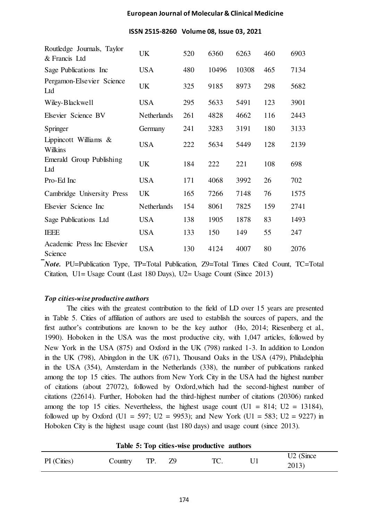### **ISSN 2515-8260 Volume 08, Issue 03, 2021**

| Routledge Journals, Taylor<br>& Francis Ltd | UK                 | 520 | 6360  | 6263  | 460 | 6903 |
|---------------------------------------------|--------------------|-----|-------|-------|-----|------|
| Sage Publications Inc                       | <b>USA</b>         | 480 | 10496 | 10308 | 465 | 7134 |
| Pergamon-Elsevier Science<br>Ltd            | <b>UK</b>          | 325 | 9185  | 8973  | 298 | 5682 |
| Wiley-Blackwell                             | <b>USA</b>         | 295 | 5633  | 5491  | 123 | 3901 |
| Elsevier Science BV                         | <b>Netherlands</b> | 261 | 4828  | 4662  | 116 | 2443 |
| Springer                                    | Germany            | 241 | 3283  | 3191  | 180 | 3133 |
| Lippincott Williams &<br>Wilkins            | <b>USA</b>         | 222 | 5634  | 5449  | 128 | 2139 |
| Emerald Group Publishing<br>Ltd             | <b>UK</b>          | 184 | 222   | 221   | 108 | 698  |
| Pro-Ed Inc                                  | <b>USA</b>         | 171 | 4068  | 3992  | 26  | 702  |
| Cambridge University Press                  | <b>UK</b>          | 165 | 7266  | 7148  | 76  | 1575 |
| Elsevier Science Inc                        | <b>Netherlands</b> | 154 | 8061  | 7825  | 159 | 2741 |
| Sage Publications Ltd                       | <b>USA</b>         | 138 | 1905  | 1878  | 83  | 1493 |
| <b>IEEE</b>                                 | <b>USA</b>         | 133 | 150   | 149   | 55  | 247  |
| Academic Press Inc Elsevier<br>Science      | <b>USA</b>         | 130 | 4124  | 4007  | 80  | 2076 |

*Note.* PU=Publication Type, TP=Total Publication, Z9=Total Times Cited Count, TC=Total Citation, U1= Usage Count (Last 180 Days), U2= Usage Count (Since 2013)

# *Top cities-wise productive authors*

The cities with the greatest contribution to the field of LD over 15 years are presented in Table 5. Cities of affiliation of authors are used to establish the sources of papers, and the first author's contributions are known to be the key author (Ho, 2014; Riesenberg et al., 1990). Hoboken in the USA was the most productive city, with 1,047 articles, followed by New York in the USA (875) and Oxford in the UK (798) ranked 1-3. In addition to London in the UK (798), Abingdon in the UK (671), Thousand Oaks in the USA (479), Philadelphia in the USA (354), Amsterdam in the Netherlands (338), the number of publications ranked among the top 15 cities. The authors from New York City in the USA had the highest number of citations (about 27072), followed by Oxford,which had the second-highest number of citations (22614). Further, Hoboken had the third-highest number of citations (20306) ranked among the top 15 cities. Nevertheless, the highest usage count  $(U1 = 814; U2 = 13184)$ , followed up by Oxford (U1 = 597; U2 = 9953); and New York (U1 = 583; U2 = 9227) in Hoboken City is the highest usage count (last 180 days) and usage count (since 2013).

|             |         |     | Table 5: Top cities-wise productive authors |                                |
|-------------|---------|-----|---------------------------------------------|--------------------------------|
| PI (Cities) | Country | TP. | TC.                                         | U <sub>2</sub> (Since<br>2013) |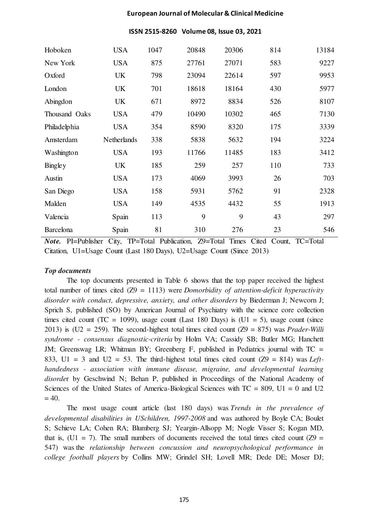| ISSN 2515-8260 Volume 08, Issue 03, 2021 |  |  |  |
|------------------------------------------|--|--|--|
|------------------------------------------|--|--|--|

| Hoboken          | <b>USA</b>  | 1047 | 20848 | 20306 | 814 | 13184 |
|------------------|-------------|------|-------|-------|-----|-------|
| New York         | <b>USA</b>  | 875  | 27761 | 27071 | 583 | 9227  |
| Oxford           | UK          | 798  | 23094 | 22614 | 597 | 9953  |
| London           | <b>UK</b>   | 701  | 18618 | 18164 | 430 | 5977  |
| Abingdon         | UK          | 671  | 8972  | 8834  | 526 | 8107  |
| Thousand Oaks    | <b>USA</b>  | 479  | 10490 | 10302 | 465 | 7130  |
| Philadelphia     | <b>USA</b>  | 354  | 8590  | 8320  | 175 | 3339  |
| Amsterdam        | Netherlands | 338  | 5838  | 5632  | 194 | 3224  |
| Washington       | <b>USA</b>  | 193  | 11766 | 11485 | 183 | 3412  |
| Bingley          | UK          | 185  | 259   | 257   | 110 | 733   |
| Austin           | <b>USA</b>  | 173  | 4069  | 3993  | 26  | 703   |
| San Diego        | <b>USA</b>  | 158  | 5931  | 5762  | 91  | 2328  |
| Malden           | <b>USA</b>  | 149  | 4535  | 4432  | 55  | 1913  |
| Valencia         | Spain       | 113  | 9     | 9     | 43  | 297   |
| <b>Barcelona</b> | Spain       | 81   | 310   | 276   | 23  | 546   |

*Note.* PI=Publisher City, TP=Total Publication, Z9=Total Times Cited Count, TC=Total Citation, U1=Usage Count (Last 180 Days), U2=Usage Count (Since 2013)

# *Top documents*

The top documents presented in Table 6 shows that the top paper received the highest total number of times cited (Z9 = 1113) were *Domorbidity of attention-deficit hyperactivity disorder with conduct, depressive, anxiety, and other disorders* by Biederman J; Newcorn J; Sprich S, published (SO) by American Journal of Psychiatry with the science core collection times cited count (TC = 1099), usage count (Last 180 Days) is (U1 = 5), usage count (since 2013) is (U2 = 259). The second-highest total times cited count (Z9 = 875) was *Prader-Willi syndrome - consensus diagnostic-criteria* by Holm VA; Cassidy SB; Butler MG; Hanchett JM; Greenswag LR; Whitman BY; Greenberg F, published in Pediatrics journal with TC = 833, U1 = 3 and U2 = 53. The third-highest total times cited count (Z9 = 814) was *Lefthandedness - association with immune disease, migraine, and developmental learning disorde*r by Geschwind N; Behan P, published in Proceedings of the National Academy of Sciences of the United States of America-Biological Sciences with  $TC = 809$ ,  $UI = 0$  and  $U2$  $= 40.$ 

The most usage count article (last 180 days) was *Trends in the prevalence of developmental disabilities in USchildren, 1997-2008* and was authored by Boyle CA; Boulet S; Schieve LA; Cohen RA; Blumberg SJ; Yeargin-Allsopp M; Nogle Visser S; Kogan MD, that is,  $(U1 = 7)$ . The small numbers of documents received the total times cited count  $(Z9 =$ 547) was the *relationship between concussion and neuropsychological performance in college football players* by Collins MW; Grindel SH; Lovell MR; Dede DE; Moser DJ;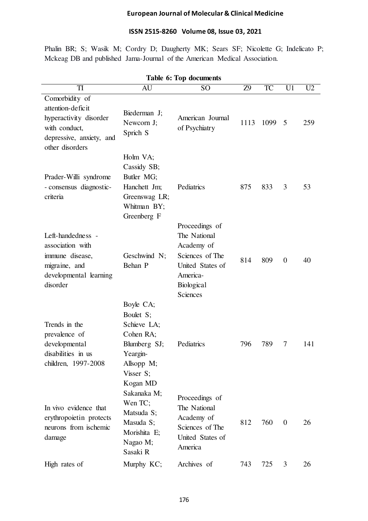# **ISSN 2515-8260 Volume 08, Issue 03, 2021**

Phalin BR; S; Wasik M; Cordry D; Daugherty MK; Sears SF; Nicolette G; Indelicato P; Mckeag DB and published Jama-Journal of the American Medical Association.

|                                                                                                                               |                                                                                                           | Table 6: Top documents                                                                                                    |           |      |                |                |
|-------------------------------------------------------------------------------------------------------------------------------|-----------------------------------------------------------------------------------------------------------|---------------------------------------------------------------------------------------------------------------------------|-----------|------|----------------|----------------|
| TI                                                                                                                            | AU                                                                                                        | SO <sub>1</sub>                                                                                                           | <b>Z9</b> | TC   | U1             | U <sub>2</sub> |
| Comorbidity of<br>attention-deficit<br>hyperactivity disorder<br>with conduct,<br>depressive, anxiety, and<br>other disorders | Biederman J;<br>Newcorn J;<br>Sprich S                                                                    | American Journal<br>of Psychiatry                                                                                         | 1113      | 1099 | 5              | 259            |
| Prader-Willi syndrome<br>- consensus diagnostic-<br>criteria                                                                  | Holm VA;<br>Cassidy SB;<br>Butler MG;<br>Hanchett Jm;<br>Greenswag LR;<br>Whitman BY;<br>Greenberg F      | Pediatrics                                                                                                                | 875       | 833  | 3              | 53             |
| Left-handedness -<br>association with<br>immune disease,<br>migraine, and<br>developmental learning<br>disorder               | Geschwind N;<br>Behan P                                                                                   | Proceedings of<br>The National<br>Academy of<br>Sciences of The<br>United States of<br>America-<br>Biological<br>Sciences | 814       | 809  | $\overline{0}$ | 40             |
| Trends in the<br>prevalence of<br>developmental<br>disabilities in us<br>children, 1997-2008                                  | Boyle CA;<br>Boulet S;<br>Schieve LA;<br>Cohen RA;<br>Blumberg SJ;<br>Yeargin-<br>Allsopp M;<br>Visser S; | Pediatrics                                                                                                                | 796       | 789  | 7              | 141            |
| In vivo evidence that<br>erythropoietin protects<br>neurons from ischemic<br>damage                                           | Kogan MD<br>Sakanaka M;<br>Wen TC;<br>Matsuda S;<br>Masuda S;<br>Morishita E;<br>Nagao M;<br>Sasaki R     | Proceedings of<br>The National<br>Academy of<br>Sciences of The<br>United States of<br>America                            | 812       | 760  | $\overline{0}$ | 26             |
| High rates of                                                                                                                 | Murphy KC;                                                                                                | Archives of                                                                                                               | 743       | 725  | 3              | 26             |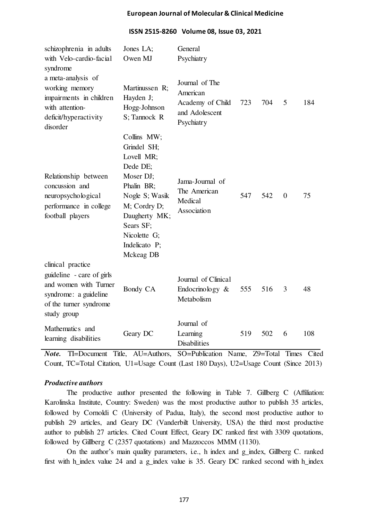| schizophrenia in adults<br>with Velo-cardio-facial<br>syndrome                                                                            | Jones LA;<br>Owen MJ                                                                                                                                                                          | General<br>Psychiatry                                                          |     |     |                |     |
|-------------------------------------------------------------------------------------------------------------------------------------------|-----------------------------------------------------------------------------------------------------------------------------------------------------------------------------------------------|--------------------------------------------------------------------------------|-----|-----|----------------|-----|
| a meta-analysis of<br>working memory<br>impairments in children<br>with attention-<br>deficit/hyperactivity<br>disorder                   | Martinussen R;<br>Hayden J;<br>Hogg-Johnson<br>S; Tannock R                                                                                                                                   | Journal of The<br>American<br>Academy of Child<br>and Adolescent<br>Psychiatry | 723 | 704 | 5              | 184 |
| Relationship between<br>concussion and<br>neuropsychological<br>performance in college<br>football players                                | Collins MW;<br>Grindel SH;<br>Lovell MR;<br>Dede DE;<br>Moser DJ;<br>Phalin BR;<br>Nogle S; Wasik<br>M; Cordry D;<br>Daugherty MK;<br>Sears SF;<br>Nicolette G;<br>Indelicato P;<br>Mckeag DB | Jama-Journal of<br>The American<br>Medical<br>Association                      | 547 | 542 | $\overline{0}$ | 75  |
| clinical practice<br>guideline - care of girls<br>and women with Turner<br>syndrome: a guideline<br>of the turner syndrome<br>study group | Bondy CA                                                                                                                                                                                      | Journal of Clinical<br>Endocrinology $\&$<br>Metabolism                        | 555 | 516 | 3              | 48  |
| Mathematics and<br>learning disabilities                                                                                                  | Geary DC                                                                                                                                                                                      | Journal of<br>Learning<br><b>Disabilities</b>                                  | 519 | 502 | 6              | 108 |

# **ISSN 2515-8260 Volume 08, Issue 03, 2021**

*Note.* TI=Document Title, AU=Authors, SO=Publication Name, Z9=Total Times Cited Count, TC=Total Citation, U1=Usage Count (Last 180 Days), U2=Usage Count (Since 2013)

# *Productive authors*

The productive author presented the following in Table 7. Gillberg C (Affiliation: Karolinska Institute, Country: Sweden) was the most productive author to publish 35 articles, followed by Cornoldi C (University of Padua, Italy), the second most productive author to publish 29 articles, and Geary DC (Vanderbilt University, USA) the third most productive author to publish 27 articles. Cited Count Effect, Geary DC ranked first with 3309 quotations, followed by Gillberg C (2357 quotations) and Mazzoccos MMM (1130).

On the author's main quality parameters, i.e., h index and g\_index, Gillberg C. ranked first with h\_index value 24 and a g\_index value is 35. Geary DC ranked second with h\_index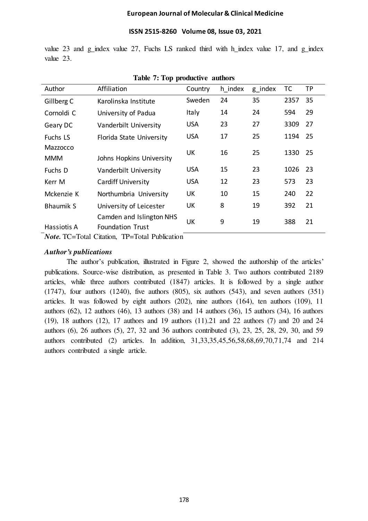### **ISSN 2515-8260 Volume 08, Issue 03, 2021**

value 23 and g\_index value 27, Fuchs LS ranked third with h\_index value 17, and g\_index value 23.

| Author                                                | Affiliation               | Country      | h index | g_index | ТC   | TP  |
|-------------------------------------------------------|---------------------------|--------------|---------|---------|------|-----|
| Gillberg C                                            | Karolinska Institute      | Sweden       | 24      | 35      | 2357 | 35  |
| Cornoldi C                                            | University of Padua       | <b>Italy</b> | 14      | 24      | 594  | 29  |
| Geary DC                                              | Vanderbilt University     | <b>USA</b>   | 23      | 27      | 3309 | 27  |
| Fuchs LS                                              | Florida State University  | <b>USA</b>   | 17      | 25      | 1194 | 25  |
| Mazzocco                                              |                           | UK           | 16      | 25      | 1330 | -25 |
| <b>MMM</b>                                            | Johns Hopkins University  |              |         |         |      |     |
| Fuchs D                                               | Vanderbilt University     | <b>USA</b>   | 15      | 23      | 1026 | 23  |
| Kerr M                                                | <b>Cardiff University</b> | <b>USA</b>   | 12      | 23      | 573  | 23  |
| Mckenzie K                                            | Northumbria University    | UK           | 10      | 15      | 240  | 22  |
| <b>Bhaumik S</b>                                      | University of Leicester   | UK           | 8       | 19      | 392  | 21  |
|                                                       | Camden and Islington NHS  | UK           | 9       | 19      | 388  | 21  |
| Hassiotis A                                           | <b>Foundation Trust</b>   |              |         |         |      |     |
| <i>Note</i> . TC=Total Citation, TP=Total Publication |                           |              |         |         |      |     |

**Table 7: Top productive authors**

### *Author's publications*

The author's publication, illustrated in Figure 2, showed the authorship of the articles' publications. Source-wise distribution, as presented in Table 3. Two authors contributed 2189 articles, while three authors contributed (1847) articles. It is followed by a single author (1747), four authors (1240), five authors (805), six authors (543), and seven authors (351) articles. It was followed by eight authors (202), nine authors (164), ten authors (109), 11 authors (62), 12 authors (46), 13 authors (38) and 14 authors (36), 15 authors (34), 16 authors (19), 18 authors (12), 17 authors and 19 authors (11).21 and 22 authors (7) and 20 and 24 authors (6), 26 authors (5), 27, 32 and 36 authors contributed (3), 23, 25, 28, 29, 30, and 59 authors contributed (2) articles. In addition, 31,33,35,45,56,58,68,69,70,71,74 and 214 authors contributed a single article.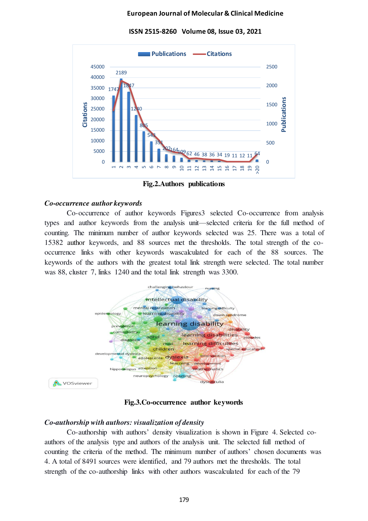**ISSN 2515-8260 Volume 08, Issue 03, 2021** 



**Fig.2.Authors publications**

### *Co-occurrence author keywords*

Co-occurrence of author keywords Figures3 selected Co-occurrence from analysis types and author keywords from the analysis unit—selected criteria for the full method of counting. The minimum number of author keywords selected was 25. There was a total of 15382 author keywords, and 88 sources met the thresholds. The total strength of the cooccurrence links with other keywords wascalculated for each of the 88 sources. The keywords of the authors with the greatest total link strength were selected. The total number was 88, cluster 7, links 1240 and the total link strength was 3300.



**Fig.3.Co-occurrence author keywords**

# *Co-authorship with authors: visualization of density*

Co-authorship with authors' density visualization is shown in Figure 4. Selected coauthors of the analysis type and authors of the analysis unit. The selected full method of counting the criteria of the method. The minimum number of authors' chosen documents was 4. A total of 8491 sources were identified, and 79 authors met the thresholds. The total strength of the co-authorship links with other authors wascalculated for each of the 79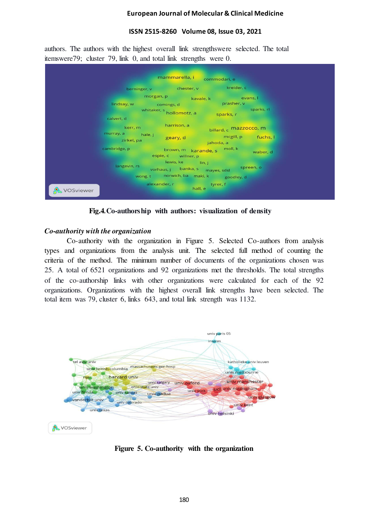# **ISSN 2515-8260 Volume 08, Issue 03, 2021**

authors. The authors with the highest overall link strengthswere selected. The total itemswere79; cluster 79, link 0, and total link strengths were 0.



**Fig.4***.***Co-authorship with authors: visualization of density**

# *Co-authority with the organization*

Co-authority with the organization in Figure 5. Selected Co-authors from analysis types and organizations from the analysis unit. The selected full method of counting the criteria of the method. The minimum number of documents of the organizations chosen was 25. A total of 6521 organizations and 92 organizations met the thresholds. The total strengths of the co-authorship links with other organizations were calculated for each of the 92 organizations. Organizations with the highest overall link strengths have been selected. The total item was 79, cluster 6, links 643, and total link strength was 1132.



**Figure 5. Co-authority with the organization**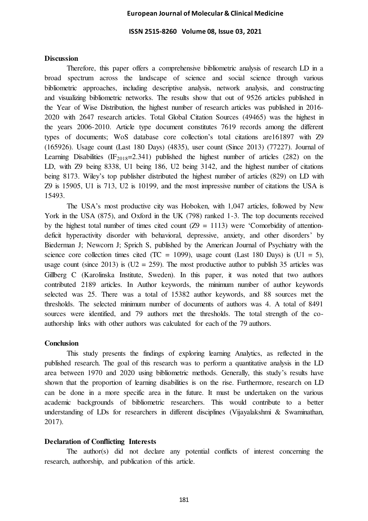**ISSN 2515-8260 Volume 08, Issue 03, 2021** 

### **Discussion**

Therefore, this paper offers a comprehensive bibliometric analysis of research LD in a broad spectrum across the landscape of science and social science through various bibliometric approaches, including descriptive analysis, network analysis, and constructing and visualizing bibliometric networks. The results show that out of 9526 articles published in the Year of Wise Distribution, the highest number of research articles was published in 2016- 2020 with 2647 research articles. Total Global Citation Sources (49465) was the highest in the years 2006-2010. Article type document constitutes 7619 records among the different types of documents; WoS database core collection's total citations are161897 with Z9 (165926). Usage count (Last 180 Days) (4835), user count (Since 2013) (77227). Journal of Learning Disabilities (IF<sub>2018</sub>=2.341) published the highest number of articles (282) on the LD, with Z9 being 8338, U1 being 186, U2 being 3142, and the highest number of citations being 8173. Wiley's top publisher distributed the highest number of articles (829) on LD with Z9 is 15905, U1 is 713, U2 is 10199, and the most impressive number of citations the USA is 15493.

The USA's most productive city was Hoboken, with 1,047 articles, followed by New York in the USA (875), and Oxford in the UK (798) ranked 1-3. The top documents received by the highest total number of times cited count  $(Z9 = 1113)$  were 'Comorbidity of attentiondeficit hyperactivity disorder with behavioral, depressive, anxiety, and other disorders' by Biederman J; Newcorn J; Sprich S, published by the American Journal of Psychiatry with the science core collection times cited (TC = 1099), usage count (Last 180 Days) is (U1 = 5), usage count (since 2013) is  $(U2 = 259)$ . The most productive author to publish 35 articles was Gillberg C (Karolinska Institute, Sweden). In this paper, it was noted that two authors contributed 2189 articles. In Author keywords, the minimum number of author keywords selected was 25. There was a total of 15382 author keywords, and 88 sources met the thresholds. The selected minimum number of documents of authors was 4. A total of 8491 sources were identified, and 79 authors met the thresholds. The total strength of the coauthorship links with other authors was calculated for each of the 79 authors.

#### **Conclusion**

This study presents the findings of exploring learning Analytics, as reflected in the published research. The goal of this research was to perform a quantitative analysis in the LD area between 1970 and 2020 using bibliometric methods. Generally, this study's results have shown that the proportion of learning disabilities is on the rise. Furthermore, research on LD can be done in a more specific area in the future. It must be undertaken on the various academic backgrounds of bibliometric researchers. This would contribute to a better understanding of LDs for researchers in different disciplines (Vijayalakshmi & Swaminathan, 2017).

### **Declaration of Conflicting Interests**

The author(s) did not declare any potential conflicts of interest concerning the research, authorship, and publication of this article.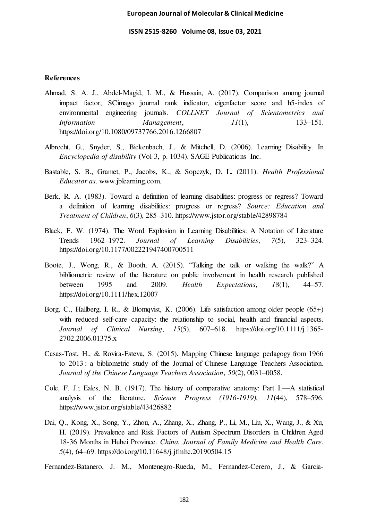**ISSN 2515-8260 Volume 08, Issue 03, 2021** 

### **References**

- Ahmad, S. A. J., Abdel-Magid, I. M., & Hussain, A. (2017). Comparison among journal impact factor, SCimago journal rank indicator, eigenfactor score and h5-index of environmental engineering journals. *COLLNET Journal of Scientometrics and Information Management*, *11*(1), 133–151. https://doi.org/10.1080/09737766.2016.1266807
- Albrecht, G., Snyder, S., Bickenbach, J., & Mitchell, D. (2006). Learning Disability. In *Encyclopedia of disability* (Vol-3, p. 1034). SAGE Publications Inc.
- Bastable, S. B., Gramet, P., Jacobs, K., & Sopczyk, D. L. (2011). *Health Professional Educator as*. www.jblearning.com.
- Berk, R. A. (1983). Toward a definition of learning disabilities: progress or regress? Toward a definition of learning disabilities: progress or regress? *Source: Education and Treatment of Children*, *6*(3), 285–310. https://www.jstor.org/stable/42898784
- Black, F. W. (1974). The Word Explosion in Learning Disabilities: A Notation of Literature Trends 1962–1972. *Journal of Learning Disabilities*, *7*(5), 323–324. https://doi.org/10.1177/002221947400700511
- Boote, J., Wong, R., & Booth, A. (2015). "Talking the talk or walking the walk?" A bibliometric review of the literature on public involvement in health research published between 1995 and 2009. *Health Expectations*, *18*(1), 44–57. https://doi.org/10.1111/hex.12007
- Borg, C., Hallberg, I. R., & Blomqvist, K. (2006). Life satisfaction among older people (65+) with reduced self-care capacity: the relationship to social, health and financial aspects. *Journal of Clinical Nursing*, *15*(5), 607–618. https://doi.org/10.1111/j.1365- 2702.2006.01375.x
- Casas-Tost, H., & Rovira-Esteva, S. (2015). Mapping Chinese language pedagogy from 1966 to 2013 : a bibliometric study of the Journal of Chinese Language Teachers Association. *Journal of the Chinese Language Teachers Association*, *50*(2), 0031–0058.
- Cole, F. J.; Eales, N. B. (1917). The history of comparative anatomy: Part I.—A statistical analysis of the literature. *Science Progress (1916-1919)*, *11*(44), 578–596. https://www.jstor.org/stable/43426882
- Dai, Q., Kong, X., Song, Y., Zhou, A., Zhang, X., Zhang, P., Li, M., Liu, X., Wang, J., & Xu, H. (2019). Prevalence and Risk Factors of Autism Spectrum Disorders in Children Aged 18-36 Months in Hubei Province. *China. Journal of Family Medicine and Health Care*, *5*(4), 64–69. https://doi.org/10.11648/j.jfmhc.20190504.15

Fernandez-Batanero, J. M., Montenegro-Rueda, M., Fernandez-Cerero, J., & Garcia-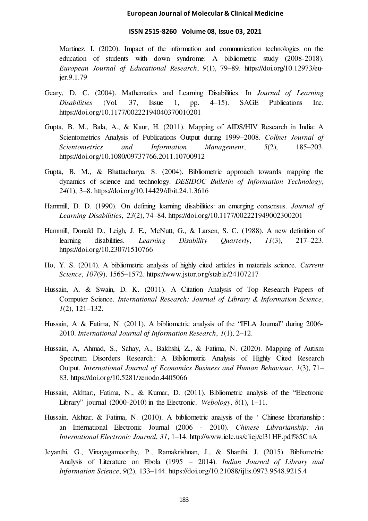#### **ISSN 2515-8260 Volume 08, Issue 03, 2021**

Martinez, I. (2020). Impact of the information and communication technologies on the education of students with down syndrome: A bibliometric study (2008-2018). *European Journal of Educational Research*, *9*(1), 79–89. https://doi.org/10.12973/eujer.9.1.79

- Geary, D. C. (2004). Mathematics and Learning Disabilities. In *Journal of Learning Disabilities* (Vol. 37, Issue 1, pp. 4–15). SAGE Publications Inc. https://doi.org/10.1177/00222194040370010201
- Gupta, B. M., Bala, A., & Kaur, H. (2011). Mapping of AIDS/HIV Research in India: A Scientometrics Analysis of Publications Output during 1999–2008. *Collnet Journal of Scientometrics and Information Management*, *5*(2), 185–203. https://doi.org/10.1080/09737766.2011.10700912
- Gupta, B. M., & Bhattacharya, S. (2004). Bibliometric approach towards mapping the dynamics of science and technology. *DESIDOC Bulletin of Information Technology*, *24*(1), 3–8. https://doi.org/10.14429/dbit.24.1.3616
- Hammill, D. D. (1990). On defining learning disabilities: an emerging consensus. *Journal of Learning Disabilities*, *23*(2), 74–84. https://doi.org/10.1177/002221949002300201
- Hammill, Donald D., Leigh, J. E., McNutt, G., & Larsen, S. C. (1988). A new definition of learning disabilities. *Learning Disability Quarterly*, *11*(3), 217–223. https://doi.org/10.2307/1510766
- Ho, Y. S. (2014). A bibliometric analysis of highly cited articles in materials science. *Current Science*, *107*(9), 1565–1572. https://www.jstor.org/stable/24107217
- Hussain, A. & Swain, D. K. (2011). A Citation Analysis of Top Research Papers of Computer Science. *International Research: Journal of Library & Information Science*, *1*(2), 121–132.
- Hussain, A & Fatima, N. (2011). A bibliometric analysis of the "IFLA Journal" during 2006-2010. *International Journal of Information Research*, *1*(1), 2–12.
- Hussain, A, Ahmad, S., Sahay, A., Bakhshi, Z., & Fatima, N. (2020). Mapping of Autism Spectrum Disorders Research : A Bibliometric Analysis of Highly Cited Research Output. *International Journal of Economics Business and Human Behaviour*, *1*(3), 71– 83. https://doi.org/10.5281/zenodo.4405066
- Hussain, Akhtar;, Fatima, N., & Kumar, D. (2011). Bibliometric analysis of the "Electronic Library" journal (2000-2010) in the Electronic. *Webology*, *8*(1), 1–11.
- Hussain, Akhtar, & Fatima, N. (2010). A bibliometric analysis of the ' Chinese librarianship : an International Electronic Journal (2006 - 2010). *Chinese Librarianship: An International Electronic Journal*, *31*, 1–14. http://www.iclc.us/cliej/cl31HF.pdf%5CnA
- Jeyanthi, G., Vinayagamoorthy, P., Ramakrishnan, J., & Shanthi, J. (2015). Bibliometric Analysis of Literature on Ebola (1995 – 2014). *Indian Journal of Library and Information Science*, *9*(2), 133–144. https://doi.org/10.21088/ijlis.0973.9548.9215.4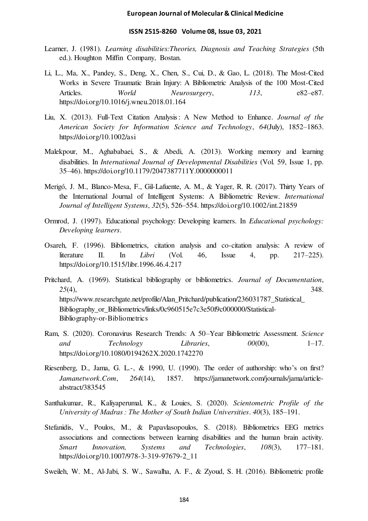#### **ISSN 2515-8260 Volume 08, Issue 03, 2021**

- Learner, J. (1981). *Learning disabilities:Theories, Diagnosis and Teaching Strategies* (5th ed.). Houghton Miffin Company, Bostan.
- Li, L., Ma, X., Pandey, S., Deng, X., Chen, S., Cui, D., & Gao, L. (2018). The Most-Cited Works in Severe Traumatic Brain Injury: A Bibliometric Analysis of the 100 Most-Cited Articles. *World Neurosurgery*, *113*, e82–e87. https://doi.org/10.1016/j.wneu.2018.01.164
- Liu, X. (2013). Full-Text Citation Analysis : A New Method to Enhance. *Journal of the American Society for Information Science and Technology*, *64*(July), 1852–1863. https://doi.org/10.1002/asi
- Malekpour, M., Aghababaei, S., & Abedi, A. (2013). Working memory and learning disabilities. In *International Journal of Developmental Disabilities* (Vol. 59, Issue 1, pp. 35–46). https://doi.org/10.1179/2047387711Y.0000000011
- Merigó, J. M., Blanco-Mesa, F., Gil-Lafuente, A. M., & Yager, R. R. (2017). Thirty Years of the International Journal of Intelligent Systems: A Bibliometric Review. *International Journal of Intelligent Systems*, *32*(5), 526–554. https://doi.org/10.1002/int.21859
- Ormrod, J. (1997). Educational psychology: Developing learners. In *Educational psychology: Developing learners*.
- Osareh, F. (1996). Bibliometrics, citation analysis and co-citation analysis: A review of literature II. In *Libri* (Vol. 46, Issue 4, pp. 217–225). https://doi.org/10.1515/libr.1996.46.4.217
- Pritchard, A. (1969). Statistical bibliography or bibliometrics. *Journal of Documentation*, *25*(4), 348. https://www.researchgate.net/profile/Alan\_Pritchard/publication/236031787\_Statistical\_ Bibliography\_or\_Bibliometrics/links/0c960515e7c3e50f9c000000/Statistical-Bibliography-or-Bibliometrics
- Ram, S. (2020). Coronavirus Research Trends: A 50–Year Bibliometric Assessment. *Science and Technology Libraries*, *00*(00), 1–17. https://doi.org/10.1080/0194262X.2020.1742270
- Riesenberg, D., Jama, G. L.-, & 1990, U. (1990). The order of authorship: who's on first? *Jamanetwork.Com*, *264*(14), 1857. https://jamanetwork.com/journals/jama/articleabstract/383545
- Santhakumar, R., Kaliyaperumal, K., & Louies, S. (2020). *Scientometric Profile of the University of Madras : The Mother of South Indian Universities*. *40*(3), 185–191.
- Stefanidis, V., Poulos, M., & Papavlasopoulos, S. (2018). Bibliometrics EEG metrics associations and connections between learning disabilities and the human brain activity. *Smart Innovation, Systems and Technologies*, *108*(3), 177–181. https://doi.org/10.1007/978-3-319-97679-2\_11
- Sweileh, W. M., Al-Jabi, S. W., Sawalha, A. F., & Zyoud, S. H. (2016). Bibliometric profile